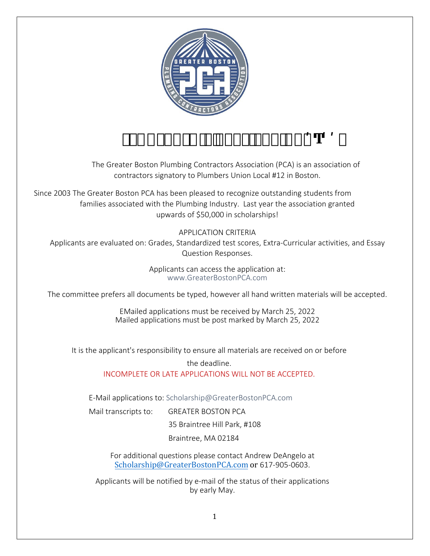

# ' <del>[ በ</del>#ž°& fl**is**<sup>\*</sup> \$\$žŁ ° ( I#" <sup>·</sup>

The Greater Boston Plumbing Contractors Association (PCA) is an association of contractors signatory to Plumbers Union Local #12 in Boston.

Since 2003 The Greater Boston PCA has been pleased to recognize outstanding students from families associated with the Plumbing Industry. Last year the association granted upwards of \$50,000 in scholarships!

APPLICATION CRITERIA Applicants are evaluated on: Grades, Standardized test scores, Extra-Curricular activities, and Essay Question Responses.

> Applicants can access the application at: www.GreaterBostonPCA.com

The committee prefers all documents be typed, however all hand written materials will be accepted.

EMailed applications must be received by March 25, 2022 Mailed applications must be post marked by March 25, 2022

It is the applicant's responsibility to ensure all materials are received on or before

the deadline. INCOMPLETE OR LATE APPLI[CATIONS WILL NOT BE ACCEPTED.](mailto:Scholarship@GreaterBostonPCA.com)

E-Mail applications to: Scholarship@GreaterBostonPCA.com

Mail transcripts to: GREATER BOSTON PCA

35 Braintree Hill Park, #108

Braintree, MA 02184

For additional questions please contact Andrew DeAngelo at [Scholarship@GreaterBostonPCA.com](mailto:Scholarship@GreaterBostonPCA.com) or 617-905-0603.

Applicants will be notified by e-mail of the status of their applications by early May.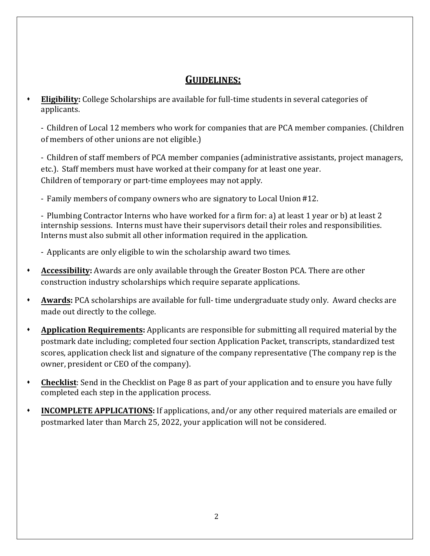## **GUIDELINES:**

 **Eligibility:** College Scholarships are available for full-time students in several categories of applicants.

- Children of Local 12 members who work for companies that are PCA member companies. (Children of members of other unions are not eligible.)

- Children of staff members of PCA member companies (administrative assistants, project managers, etc.). Staff members must have worked at their company for at least one year. Children of temporary or part-time employees may not apply.

- Family members of company owners who are signatory to Local Union #12.

- Plumbing Contractor Interns who have worked for a firm for: a) at least 1 year or b) at least 2 internship sessions. Interns must have their supervisors detail their roles and responsibilities. Interns must also submit all other information required in the application.

- Applicants are only eligible to win the scholarship award two times.

- **Accessibility:** Awards are only available through the Greater Boston PCA. There are other construction industry scholarships which require separate applications.
- **Awards:** PCA scholarships are available for full- time undergraduate study only. Award checks are made out directly to the college.
- **Application Requirements:** Applicants are responsible for submitting all required material by the postmark date including; completed four section Application Packet, transcripts, standardized test scores, application check list and signature of the company representative (The company rep is the owner, president or CEO of the company).
- **Checklist**: Send in the Checklist on Page 8 as part of your application and to ensure you have fully completed each step in the application process.
- **INCOMPLETE APPLICATIONS:** If applications, and/or any other required materials are emailed or postmarked later than March 25, 2022, your application will not be considered.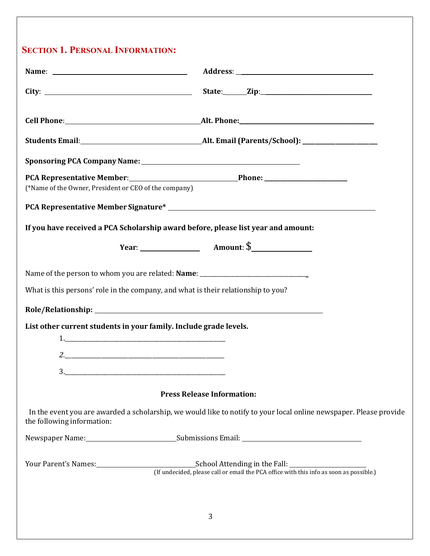## **SECTION 1. PERSONAL INFORMATION:**

| PCA Representative Member: Phone: Phone: Phone:<br>(*Name of the Owner, President or CEO of the company)                                                                                                                         |                                                                                                                                               |
|----------------------------------------------------------------------------------------------------------------------------------------------------------------------------------------------------------------------------------|-----------------------------------------------------------------------------------------------------------------------------------------------|
| PCA Representative Member Signature*<br>The Manual Contract of the Member Signature and the Manual Contract of the Member Signature and the Member Signature and the Member Signature and the Member Signature and the Member Si |                                                                                                                                               |
| If you have received a PCA Scholarship award before, please list year and amount:                                                                                                                                                |                                                                                                                                               |
|                                                                                                                                                                                                                                  | Year: $\begin{array}{c} \n\end{array}$ Amount: \$                                                                                             |
| Name of the person to whom you are related: Name: _______________________________                                                                                                                                                |                                                                                                                                               |
| What is this persons' role in the company, and what is their relationship to you?                                                                                                                                                |                                                                                                                                               |
|                                                                                                                                                                                                                                  |                                                                                                                                               |
| List other current students in your family. Include grade levels.                                                                                                                                                                |                                                                                                                                               |
|                                                                                                                                                                                                                                  |                                                                                                                                               |
| 3.                                                                                                                                                                                                                               |                                                                                                                                               |
|                                                                                                                                                                                                                                  |                                                                                                                                               |
|                                                                                                                                                                                                                                  | <b>Press Release Information:</b>                                                                                                             |
| the following information:                                                                                                                                                                                                       | In the event you are awarded a scholarship, we would like to notify to your local online newspaper. Please provide                            |
|                                                                                                                                                                                                                                  |                                                                                                                                               |
|                                                                                                                                                                                                                                  | Your Parent's Names:<br>[16] [16] [16] Chool Attending in the Fall:<br>(16) Chool Attending in the Fall:<br>(16) Chool Attending in the Fall: |
|                                                                                                                                                                                                                                  | 3                                                                                                                                             |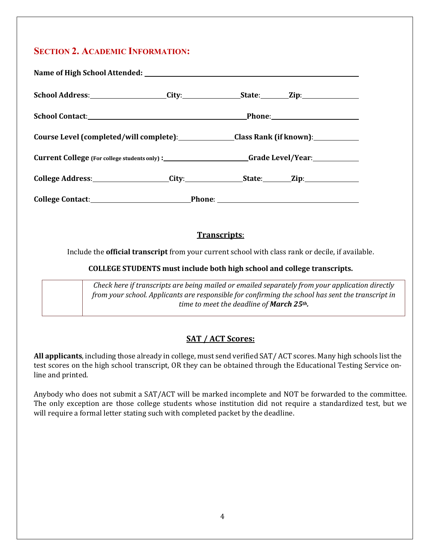## **SECTION 2. ACADEMIC INFORMATION:**

| School Address: City: City: State: Zip:                                    |  |  |
|----------------------------------------------------------------------------|--|--|
|                                                                            |  |  |
| Course Level (completed/will complete): Class Rank (if known): ___________ |  |  |
|                                                                            |  |  |
| College Address: College Address: City: City: College Address:             |  |  |
|                                                                            |  |  |

#### **Transcripts**:

Include the **official transcript** from your current school with class rank or decile, if available.

#### **COLLEGE STUDENTS must include both high school and college transcripts.**

*Check here if transcripts are being mailed or emailed separately from your application directly from your school. Applicants are responsible for confirming the school has sent the transcript in time to meet the deadline of March 25th.* 

#### **SAT / ACT Scores:**

**All applicants**, including those already in college, must send verified SAT/ ACT scores. Many high schools list the test scores on the high school transcript, OR they can be obtained through the Educational Testing Service online and printed.

Anybody who does not submit a SAT/ACT will be marked incomplete and NOT be forwarded to the committee. The only exception are those college students whose institution did not require a standardized test, but we will require a formal letter stating such with completed packet by the deadline.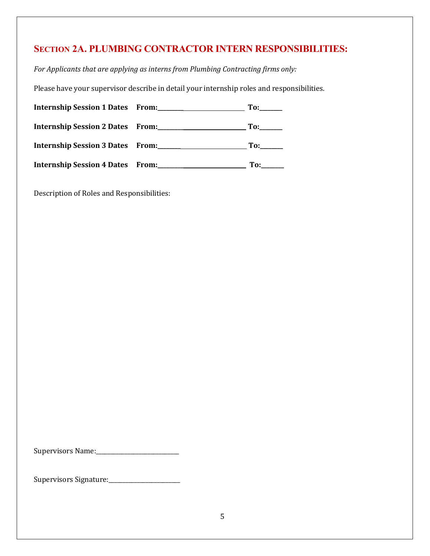## **SECTION 2A. PLUMBING CONTRACTOR INTERN RESPONSIBILITIES:**

*For Applicants that are applying as interns from Plumbing Contracting firms only:*

Please have your supervisor describe in detail your internship roles and responsibilities.

| Internship Session 1 Dates From:        | To: |
|-----------------------------------------|-----|
| Internship Session 2 Dates From:        |     |
| Internship Session 3 Dates From:        | To: |
| <b>Internship Session 4 Dates From:</b> | To: |

Description of Roles and Responsibilities:

Supervisors Name:\_\_\_\_\_\_\_\_\_\_\_\_\_\_\_\_\_\_\_\_\_\_\_\_\_\_\_\_\_

Supervisors Signature:\_\_\_\_\_\_\_\_\_\_\_\_\_\_\_\_\_\_\_\_\_\_\_\_\_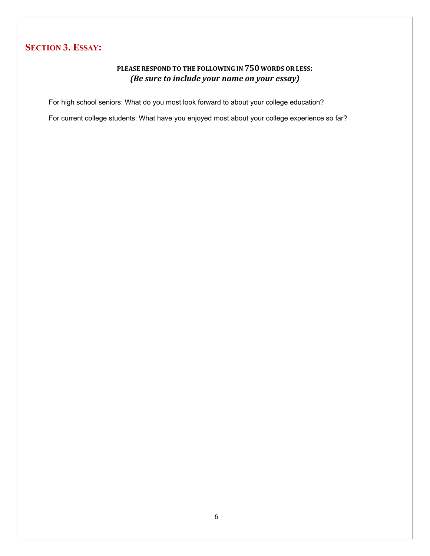## **SECTION 3. ESSAY:**

#### **PLEASE RESPOND TO THE FOLLOWING IN 750 WORDS OR LESS:**  *(Be sure to include your name on your essay)*

For high school seniors: What do you most look forward to about your college education?

For current college students: What have you enjoyed most about your college experience so far?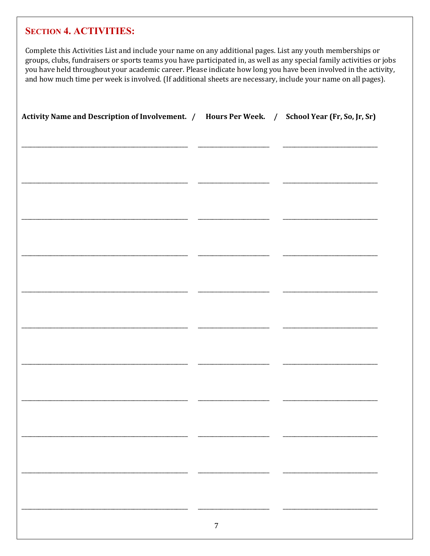### **SECTION 4. ACTIVITIES:**

Complete this Activities List and include your name on any additional pages. List any youth memberships or groups, clubs, fundraisers or sports teams you have participated in, as well as any special family activities or jobs you have held throughout your academic career. Please indicate how long you have been involved in the activity, and how much time per week is involved. (If additional sheets are necessary, include your name on all pages).

| Activity Name and Description of Involvement. / Hours Per Week. / School Year (Fr, So, Jr, Sr) |                |  |
|------------------------------------------------------------------------------------------------|----------------|--|
|                                                                                                |                |  |
|                                                                                                |                |  |
|                                                                                                |                |  |
|                                                                                                |                |  |
|                                                                                                |                |  |
|                                                                                                |                |  |
|                                                                                                |                |  |
|                                                                                                |                |  |
|                                                                                                |                |  |
|                                                                                                |                |  |
|                                                                                                |                |  |
|                                                                                                |                |  |
|                                                                                                |                |  |
|                                                                                                |                |  |
|                                                                                                |                |  |
|                                                                                                | $\overline{7}$ |  |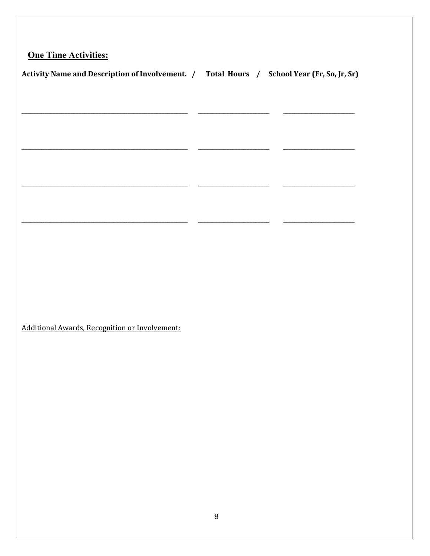## **One Time Activities:**

| <b>Activity Name and Description of Involvement. /</b> | Total Hours / | <b>School Year (Fr, So, Jr, Sr)</b> |
|--------------------------------------------------------|---------------|-------------------------------------|
|                                                        |               |                                     |

Additional Awards, Recognition or Involvement: